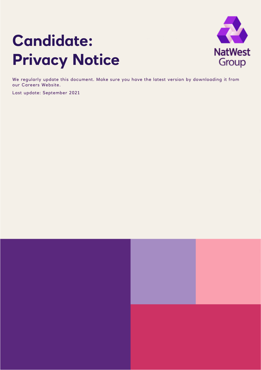# **Candidate: Privacy Notice**



We regularly update this document. Make sure you have the latest version by downloading it from our Careers Website.

Last update: September 2021

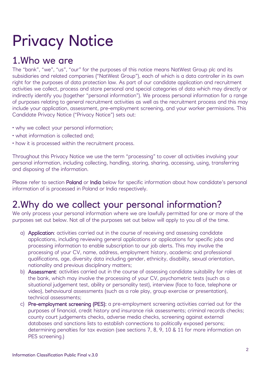# Privacy Notice

#### 1.Who we are

The "bank", "we", "us", "our" for the purposes of this notice means NatWest Group plc and its subsidiaries and related companies ("NatWest Group"), each of which is a data controller in its own right for the purposes of data protection law. As part of our candidate application and recruitment activities we collect, process and store personal and special categories of data which may directly or indirectly identify you (together "personal information"). We process personal information for a range of purposes relating to general recruitment activities as well as the recruitment process and this may include your application, assessment, pre-employment screening, and your worker permissions. This Candidate Privacy Notice ("Privacy Notice") sets out:

- why we collect your personal information;
- what information is collected and;
- how it is processed within the recruitment process.

Throughout this Privacy Notice we use the term "processing" to cover all activities involving your personal information, including collecting, handling, storing, sharing, accessing, using, transferring and disposing of the information.

Please refer to section Poland or India below for specific information about how candidate's personal information of is processed in Poland or India respectively.

### 2.Why do we collect your personal information?

We only process your personal information where we are lawfully permitted for one or more of the purposes set out below. Not all of the purposes set out below will apply to you all of the time.

- a) Application: activities carried out in the course of receiving and assessing candidate applications, including reviewing general applications or applications for specific jobs and processing information to enable subscription to our job alerts. This may involve the processing of your CV, name, address, employment history, academic and professional qualifications, age, diversity data including gender, ethnicity, disability, sexual orientation, nationality and previous disciplinary matters;
- b) Assessment: activities carried out in the course of assessing candidate suitability for roles at the bank, which may involve the processing of your CV, psychometric tests (such as a situational judgement test, ability or personality test), interview (face to face, telephone or video), behavioural assessments (such as a role play, group exercise or presentation), technical assessments;
- c) Pre-employment screening (PES): a pre-employment screening activities carried out for the purposes of financial, credit history and insurance risk assessments; criminal records checks; county court judgements checks, adverse media checks, screening against external databases and sanctions lists to establish connections to politically exposed persons; determining penalties for tax evasion (see sections 7, 8, 9, 10 & 11 for more information on PES screening.)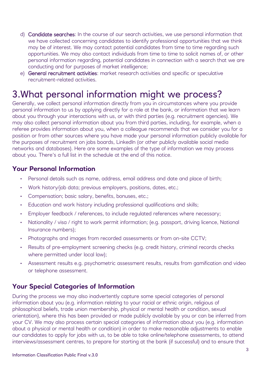- d) Candidate searches: In the course of our search activities, we use personal information that we have collected concerning candidates to identify professional opportunities that we think may be of interest. We may contact potential candidates from time to time regarding such opportunities. We may also contact individuals from time to time to solicit names of, or other personal information regarding, potential candidates in connection with a search that we are conducting and for purposes of market intelligence;
- e) General recruitment activities: market research activities and specific or speculative recruitment-related activities.

#### 3.What personal information might we process?

Generally, we collect personal information directly from you in circumstances where you provide personal information to us by applying directly for a role at the bank, or information that we learn about you through your interactions with us, or with third parties (e.g. recruitment agencies). We may also collect personal information about you from third parties, including, for example, when a referee provides information about you, when a colleague recommends that we consider you for a position or from other sources where you have made your personal information publicly available for the purposes of recruitment on jobs boards, LinkedIn (or other publicly available social media networks and databases). Here are some examples of the type of information we may process about you. There's a full list in the schedule at the end of this notice.

#### **Your Personal Information**

- Personal details such as name, address, email address and date and place of birth;
- Work history/job data; previous employers, positions, dates, etc.;
- Compensation; basic salary, benefits, bonuses, etc.;
- Education and work history including professional qualifications and skills;
- Employer feedback / references, to include regulated references where necessary;
- Nationality / visa / right to work permit information; (e.g. passport, driving licence, National Insurance numbers);
- Photographs and images from recorded assessments or from on-site CCTV;
- Results of pre-employment screening checks (e.g. credit history, criminal records checks where permitted under local law);
- Assessment results e.g. psychometric assessment results, results from gamification and video or telephone assessment.

#### **Your Special Categories of Information**

During the process we may also inadvertently capture some special categories of personal information about you (e.g. information relating to your racial or ethnic origin, religious of philosophical beliefs, trade union membership, physical or mental health or condition, sexual orientation), where this has been provided or made publicly available by you or can be inferred from your CV. We may also process certain special categories of information about you (e.g. information about a physical or mental health or condition) in order to make reasonable adjustments to enable our candidates to apply for jobs with us, to be able to take online/telephone assessments, to attend interviews/assessment centres, to prepare for starting at the bank (if successful) and to ensure that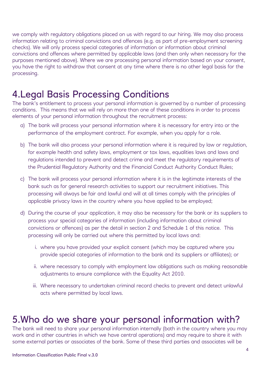we comply with regulatory obligations placed on us with regard to our hiring. We may also process information relating to criminal convictions and offences (e.g. as part of pre-employment screening checks). We will only process special categories of information or information about criminal convictions and offences where permitted by applicable laws (and then only when necessary for the purposes mentioned above). Where we are processing personal information based on your consent, you have the right to withdraw that consent at any time where there is no other legal basis for the processing.

#### 4.Legal Basis Processing Conditions

The bank's entitlement to process your personal information is governed by a number of processing conditions. This means that we will rely on more than one of these conditions in order to process elements of your personal information throughout the recruitment process:

- a) The bank will process your personal information where it is necessary for entry into or the performance of the employment contract. For example, when you apply for a role.
- b) The bank will also process your personal information where it is required by law or regulation, for example health and safety laws, employment or tax laws, equalities laws and laws and regulations intended to prevent and detect crime and meet the regulatory requirements of the Prudential Regulatory Authority and the Financial Conduct Authority Conduct Rules;
- c) The bank will process your personal information where it is in the legitimate interests of the bank such as for general research activities to support our recruitment initiatives. This processing will always be fair and lawful and will at all times comply with the principles of applicable privacy laws in the country where you have applied to be employed;
- d) During the course of your application, it may also be necessary for the bank or its suppliers to process your special categories of information (including information about criminal convictions or offences) as per the detail in section 2 and Schedule 1 of this notice. This processing will only be carried out where this permitted by local laws and:
	- i. where you have provided your explicit consent (which may be captured where you provide special categories of information to the bank and its suppliers or affiliates); or
	- ii. where necessary to comply with employment law obligations such as making reasonable adjustments to ensure compliance with the Equality Act 2010.
	- iii. Where necessary to undertaken criminal record checks to prevent and detect unlawful acts where permitted by local laws.

#### 5.Who do we share your personal information with?

The bank will need to share your personal information internally (both in the country where you may work and in other countries in which we have central operations) and may require to share it with some external parties or associates of the bank. Some of these third parties and associates will be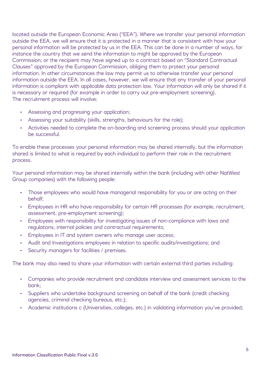located outside the European Economic Area ("EEA"). Where we transfer your personal information outside the EEA, we will ensure that it is protected in a manner that is consistent with how your personal information will be protected by us in the EEA. This can be done in a number of ways, for instance the country that we send the information to might be approved by the European Commission; or the recipient may have signed up to a contract based on "Standard Contractual Clauses" approved by the European Commission, obliging them to protect your personal information. In other circumstances the law may permit us to otherwise transfer your personal information outside the EEA. In all cases, however, we will ensure that any transfer of your personal information is compliant with applicable data protection law. Your information will only be shared if it is necessary or required (for example in order to carry out pre-employment screening). The recruitment process will involve:

- Assessing and progressing your application;
- Assessing your suitability (skills, strengths, behaviours for the role);
- Activities needed to complete the on-boarding and screening process should your application be successful.

To enable these processes your personal information may be shared internally, but the information shared is limited to what is required by each individual to perform their role in the recruitment process.

Your personal information may be shared internally within the bank (including with other NatWest Group companies) with the following people:

- Those employees who would have managerial responsibility for you or are acting on their behalf;
- Employees in HR who have responsibility for certain HR processes (for example, recruitment, assessment, pre-employment screening);
- Employees with responsibility for investigating issues of non-compliance with laws and regulations, internal policies and contractual requirements;
- Employees in IT and system owners who manage user access;
- Audit and Investigations employees in relation to specific audits/investigations; and
- Security managers for facilities / premises.

The bank may also need to share your information with certain external third parties including:

- Companies who provide recruitment and candidate interview and assessment services to the bank;
- Suppliers who undertake background screening on behalf of the bank (credit checking agencies, criminal checking bureaus, etc.);
- Academic institutions c (Universities, colleges, etc.) in validating information you've provided;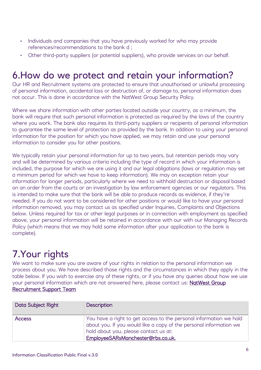- Individuals and companies that you have previously worked for who may provide references/recommendations to the bank d ;
- Other third-party suppliers (or potential suppliers), who provide services on our behalf.

#### 6.How do we protect and retain your information?

Our HR and Recruitment systems are protected to ensure that unauthorised or unlawful processing of personal information, accidental loss or destruction of, or damage to, personal information does not occur. This is done in accordance with the NatWest Group Security Policy.

Where we share information with other parties located outside your country, as a minimum, the bank will require that such personal information is protected as required by the laws of the country where you work. The bank also requires its third-party suppliers or recipients of personal information to guarantee the same level of protection as provided by the bank. In addition to using your personal information for the position for which you have applied, we may retain and use your personal information to consider you for other positions.

We typically retain your personal information for up to two years, but retention periods may vary and will be determined by various criteria including the type of record in which your information is included, the purpose for which we are using it and our legal obligations (laws or regulation may set a minimum period for which we have to keep information). We may on exception retain your information for longer periods, particularly where we need to withhold destruction or disposal based on an order from the courts or an investigation by law enforcement agencies or our regulators. This is intended to make sure that the bank will be able to produce records as evidence, if they're needed. If you do not want to be considered for other positions or would like to have your personal information removed, you may contact us as specified under Inquiries, Complaints and Objections below. Unless required for tax or other legal purposes or in connection with employment as specified above, your personal information will be retained in accordance with our with our Managing Records Policy (which means that we may hold some information after your application to the bank is complete).

#### 7.Your rights

We want to make sure you are aware of your rights in relation to the personal information we process about you. We have described those rights and the circumstances in which they apply in the table below. If you wish to exercise any of these rights, or if you have any queries about how we use your personal information which are not answered here, please contact us: [NatWest Group](mailto:rbs.jobs.query@rbs.co.uk) 

#### [Recruitment Support Team](mailto:rbs.jobs.query@rbs.co.uk)

| Data Subject Right | <b>Description</b>                                                                                                                                                                                                     |
|--------------------|------------------------------------------------------------------------------------------------------------------------------------------------------------------------------------------------------------------------|
| <b>Access</b>      | You have a right to get access to the personal information we hold<br>about you. If you would like a copy of the personal information we<br>hold about you, please contact us at:<br>EmployeeSARsManchester@rbs.co.uk. |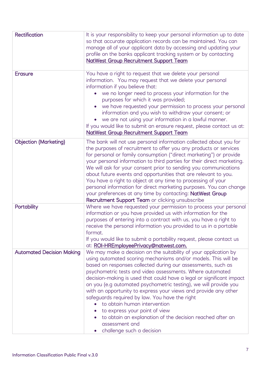| Rectification                    | It is your responsibility to keep your personal information up to date<br>so that accurate application records can be maintained. You can<br>manage all of your applicant data by accessing and updating your<br>profile on the banks applicant tracking system or by contacting<br><b>NatWest Group Recruitment Support Team</b>                                                                                                                                                                                                                                                                                                                                                                              |
|----------------------------------|----------------------------------------------------------------------------------------------------------------------------------------------------------------------------------------------------------------------------------------------------------------------------------------------------------------------------------------------------------------------------------------------------------------------------------------------------------------------------------------------------------------------------------------------------------------------------------------------------------------------------------------------------------------------------------------------------------------|
| <b>Erasure</b>                   | You have a right to request that we delete your personal<br>information. You may request that we delete your personal<br>information if you believe that:<br>• we no longer need to process your information for the<br>purposes for which it was provided;<br>we have requested your permission to process your personal<br>information and you wish to withdraw your consent; or<br>we are not using your information in a lawful manner.<br>If you would like to submit an erasure request, please contact us at:<br><b>NatWest Group Recruitment Support Team</b>                                                                                                                                          |
| <b>Objection (Marketing)</b>     | The bank will not use personal information collected about you for<br>the purposes of recruitment to offer you any products or services<br>for personal or family consumption ("direct marketing") or provide<br>your personal information to third parties for their direct marketing.<br>We will ask for your consent prior to sending you communications<br>about future events and opportunities that are relevant to you.<br>You have a right to object at any time to processing of your<br>personal information for direct marketing purposes. You can change<br>your preferences at any time by contacting: NatWest Group<br>Recruitment Support Team or clicking unsubscribe                          |
| Portability                      | Where we have requested your permission to process your personal<br>information or you have provided us with information for the<br>purposes of entering into a contract with us, you have a right to<br>receive the personal information you provided to us in a portable<br>format.<br>If you would like to submit a portability request, please contact us<br>at: ROI-HREmployeePrivacy@natwest.com.                                                                                                                                                                                                                                                                                                        |
| <b>Automated Decision Making</b> | We may make a decision on the suitability of your application by<br>using automated scoring mechanisms and/or models. This will be<br>based on responses collected during our assessments, such as<br>psychometric tests and video assessments. Where automated<br>decision-making is used that could have a legal or significant impact<br>on you (e.g automated psychometric testing), we will provide you<br>with an opportunity to express your views and provide any other<br>safeguards required by law. You have the right<br>to obtain human intervention<br>to express your point of view<br>to obtain an explanation of the decision reached after an<br>assessment and<br>challenge such a decision |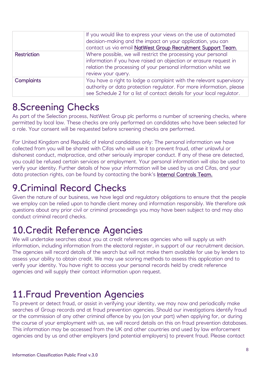|                    | If you would like to express your views on the use of automated<br>decision-making and the impact on your application, you can<br>contact us via email NatWest Group Recruitment Support Team.                             |
|--------------------|----------------------------------------------------------------------------------------------------------------------------------------------------------------------------------------------------------------------------|
| <b>Restriction</b> | Where possible, we will restrict the processing your personal<br>information if you have raised an objection or erasure request in<br>relation the processing of your personal information whilst we<br>review your query. |
| <b>Complaints</b>  | You have a right to lodge a complaint with the relevant supervisory<br>authority or data protection regulator. For more information, please<br>see Schedule 2 for a list of contact details for your local regulator.      |

#### 8.Screening Checks

As part of the Selection process, NatWest Group plc performs a number of screening checks, where permitted by local law. These checks are only performed on candidates who have been selected for a role. Your consent will be requested before screening checks are performed.

For United Kingdom and Republic of Ireland candidates only: The personal information we have collected from you will be shared with Cifas who will use it to prevent fraud, other unlawful or dishonest conduct, malpractice, and other seriously improper conduct. If any of these are detected, you could be refused certain services or employment. Your personal information will also be used to verify your identity. Further details of how your information will be used by us and Cifas, and your data protection rights, can be found by contacting the bank's [Internal Controls Team.](mailto:HRPeopleServicesUK&EMEAInternalControlsTeam@rbs.co.uk)

#### 9.Criminal Record Checks

Given the nature of our business, we have legal and regulatory obligations to ensure that the people we employ can be relied upon to handle client money and information responsibly. We therefore ask questions about any prior civil or criminal proceedings you may have been subject to and may also conduct criminal record checks.

### 10.Credit Reference Agencies

We will undertake searches about you at credit references agencies who will supply us with information, including information from the electoral register, in support of our recruitment decision. The agencies will record details of the search but will not make them available for use by lenders to assess your ability to obtain credit. We may use scoring methods to assess this application and to verify your identity. You have right to access your personal records held by credit reference agencies and will supply their contact information upon request.

#### 11.Fraud Prevention Agencies

To prevent or detect fraud, or assist in verifying your identity, we may now and periodically make searches of Group records and at fraud prevention agencies. Should our investigations identify fraud or the commission of any other criminal offence by you (on your part) when applying for, or during the course of your employment with us, we will record details on this on fraud prevention databases. This information may be accessed from the UK and other countries and used by law enforcement agencies and by us and other employers (and potential employers) to prevent fraud. Please contact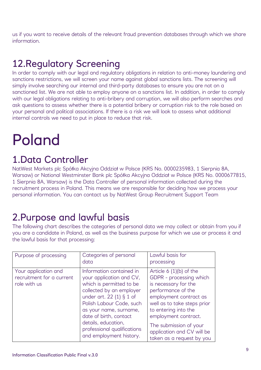us if you want to receive details of the relevant fraud prevention databases through which we share information.

## 12.Regulatory Screening

In order to comply with our legal and regulatory obligations in relation to anti-money laundering and sanctions restrictions, we will screen your name against global sanctions lists. The screening will simply involve searching our internal and third-party databases to ensure you are not on a sanctioned list. We are not able to employ anyone on a sanctions list. In addition, in order to comply with our legal obligations relating to anti-bribery and corruption, we will also perform searches and ask questions to assess whether there is a potential bribery or corruption risk to the role based on your personal and political associations. If there is a risk we will look to assess what additional internal controls we need to put in place to reduce that risk.

## Poland

#### 1.Data Controller

NatWest Markets plc Spółka Akcyjna Oddział w Polsce (KRS No. 0000235983, 1 Sierpnia 8A, Warsaw) or National Westminster Bank plc Spółka Akcyjna Oddział w Polsce (KRS No. 0000677815, 1 Sierpnia 8A, Warsaw) is the Data Controller of personal information collected during the recruitment process in Poland. This means we are responsible for deciding how we process your personal information. You can contact us by [NatWest Group Recruitment Support Team](mailto:rbs.jobs.query@rbs.co.uk)

### 2.Purpose and lawful basis

The following chart describes the categories of personal data we may collect or obtain from you if you are a candidate in Poland, as well as the business purpose for which we use or process it and the lawful basis for that processing:

| Purpose of processing                                             | Categories of personal<br>data                                                                                                                                                                                                                                                                            | Lawful basis for<br>processing                                                                                                                                                                                                                                                                  |
|-------------------------------------------------------------------|-----------------------------------------------------------------------------------------------------------------------------------------------------------------------------------------------------------------------------------------------------------------------------------------------------------|-------------------------------------------------------------------------------------------------------------------------------------------------------------------------------------------------------------------------------------------------------------------------------------------------|
| Your application and<br>recruitment for a current<br>role with us | Information contained in<br>your application and CV,<br>which is permitted to be<br>collected by an employer<br>under art. 22 (1) § 1 of<br>Polish Labour Code, such<br>as your name, surname,<br>date of birth, contact<br>details, education,<br>professional qualifications<br>and employment history. | Article $6(1)(b)$ of the<br>GDPR - processing which<br>is necessary for the<br>performance of the<br>employment contract as<br>well as to take steps prior<br>to entering into the<br>employment contract.<br>The submission of your<br>application and CV will be<br>taken as a request by you |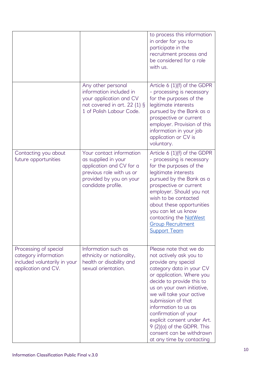|                                                                                                      |                                                                                                                                                          | to process this information<br>in order for you to<br>participate in the<br>recruitment process and<br>be considered for a role<br>with us.                                                                                                                                                                                                                                                                          |
|------------------------------------------------------------------------------------------------------|----------------------------------------------------------------------------------------------------------------------------------------------------------|----------------------------------------------------------------------------------------------------------------------------------------------------------------------------------------------------------------------------------------------------------------------------------------------------------------------------------------------------------------------------------------------------------------------|
|                                                                                                      | Any other personal<br>information included in<br>your application and CV<br>not covered in art. 22 $(1)$ §<br>1 of Polish Labour Code.                   | Article $6(1)(f)$ of the GDPR<br>- processing is necessary<br>for the purposes of the<br>legitimate interests<br>pursued by the Bank as a<br>prospective or current<br>employer. Provision of this<br>information in your job<br>application or CV is<br>voluntary.                                                                                                                                                  |
| Contacting you about<br>future opportunities                                                         | Your contact information<br>as supplied in your<br>application and CV for a<br>previous role with us or<br>provided by you on your<br>candidate profile. | Article 6 (1)(f) of the GDPR<br>- processing is necessary<br>for the purposes of the<br>legitimate interests<br>pursued by the Bank as a<br>prospective or current<br>employer. Should you not<br>wish to be contacted<br>about these opportunities<br>you can let us know<br>contacting the <b>NatWest</b><br><b>Group Recruitment</b><br><b>Support Team</b>                                                       |
| Processing of special<br>category information<br>included voluntarily in your<br>application and CV. | Information such as<br>ethnicity or nationality,<br>health or disability and<br>sexual orientation.                                                      | Please note that we do<br>not actively ask you to<br>provide any special<br>category data in your CV<br>or application. Where you<br>decide to provide this to<br>us on your own initiative,<br>we will take your active<br>submission of that<br>information to us as<br>confirmation of your<br>explicit consent under Art.<br>9 (2)(a) of the GDPR. This<br>consent can be withdrawn<br>at any time by contacting |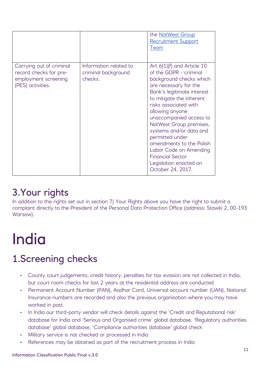|                                                                                                 |                                                          | the NatWest Group<br><b>Recruitment Support</b><br>Team                                                                                                                                                                                                                                                                                                                                                                                              |
|-------------------------------------------------------------------------------------------------|----------------------------------------------------------|------------------------------------------------------------------------------------------------------------------------------------------------------------------------------------------------------------------------------------------------------------------------------------------------------------------------------------------------------------------------------------------------------------------------------------------------------|
| Carrying out of criminal<br>record checks for pre-<br>employment screening<br>(PES) activities. | Information related to<br>criminal background<br>checks. | Art $6(1)(f)$ and Article 10<br>of the GDPR - criminal<br>background checks which<br>are necessary for the<br>Bank's legitimate interest<br>to mitigate the inherent<br>risks associated with<br>allowing anyone<br>unaccompanied access to<br>NatWest Group premises,<br>systems and/or data and<br>permitted under<br>amendments to the Polish<br>Labor Code on Amending<br><b>Financial Sector</b><br>Legislation enacted on<br>October 24, 2017. |

### 3.Your rights

In addition to the rights set out in section 7) Your Rights above you have the right to submit a complaint directly to the President of the Personal Data Protection Office (address: Stawki 2, 00-193 Warsaw).

# India

### 1.Screening checks

- County court judgements, credit history, penalties for tax evasion are not collected in India, but court room checks for last 2 years at the residential address are conducted
- Permanent Account Number (PAN), Aadhar Card, Universal account number (UAN), National Insurance numbers are recorded and also the previous organisation where you may have worked in past.
- In India our third-party vendor will check details against the 'Credit and Reputational risk' database for India and 'Serious and Organised crime' global database, 'Regulatory authorities database' global database, 'Compliance authorities database' global check
- Military service is not checked or processed in India
- References may be obtained as part of the recruitment process in India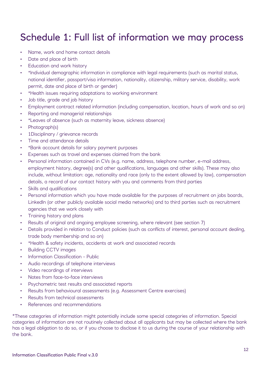### Schedule 1: Full list of information we may process

- Name, work and home contact details
- Date and place of birth
- Education and work history
- \*Individual demographic information in compliance with legal requirements (such as marital status, national identifier, passport/visa information, nationality, citizenship, military service, disability, work permit, date and place of birth or gender)
- \*Health issues requiring adaptations to working environment
- Job title, grade and job history
- Employment contract related information (including compensation, location, hours of work and so on)
- Reporting and managerial relationships
- \*Leaves of absence (such as maternity leave, sickness absence)
- Photograph(s)
- 1Disciplinary / grievance records
- Time and attendance details
- \*Bank account details for salary payment purposes
- Expenses such as travel and expenses claimed from the bank
- Personal information contained in CVs (e.g. name, address, telephone number, e-mail address, employment history, degree(s) and other qualifications, languages and other skills). These may also include, without limitation: age, nationality and race (only to the extent allowed by law), compensation details, a record of our contact history with you and comments from third parties
- Skills and qualifications
- Personal information which you have made available for the purposes of recruitment on jobs boards, LinkedIn (or other publicly available social media networks) and to third parties such as recruitment agencies that we work closely with
- Training history and plans
- Results of original and ongoing employee screening, where relevant (see section 7)
- Details provided in relation to Conduct policies (such as conflicts of interest, personal account dealing, trade body membership and so on)
- \*Health & safety incidents, accidents at work and associated records
- Building CCTV images
- Information Classification Public
- Audio recordings of telephone interviews
- Video recordings of interviews
- Notes from face-to-face interviews
- Psychometric test results and associated reports
- Results from behavioural assessments (e.g. Assessment Centre exercises)
- Results from technical assessments
- References and recommendations

\*These categories of information might potentially include some special categories of information. Special categories of information are not routinely collected about all applicants but may be collected where the bank has a legal obligation to do so, or if you choose to disclose it to us during the course of your relationship with the bank.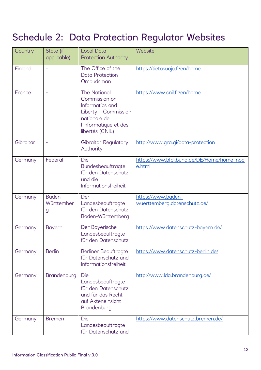## Schedule 2: Data Protection Regulator Websites

| Country   | State (if<br>applicable)  | <b>Local Data</b><br><b>Protection Authority</b>                                                                                            | Website                                             |
|-----------|---------------------------|---------------------------------------------------------------------------------------------------------------------------------------------|-----------------------------------------------------|
| Finland   | $\equiv$                  | The Office of the<br><b>Data Protection</b><br>Ombudsman                                                                                    | https://tietosuoja.fi/en/home                       |
| France    | $\equiv$                  | <b>The National</b><br>Commission on<br>Informatics and<br>Liberty - Commission<br>nationale de<br>l'informatique et des<br>libertés (CNIL) | https://www.cnil.fr/en/home                         |
| Gibraltar | $\equiv$                  | <b>Gibraltar Regulatory</b><br>Authority                                                                                                    | http://www.gra.gi/data-protection                   |
| Germany   | Federal                   | Die<br>Bundesbeauftragte<br>für den Datenschutz<br>und die<br>Informationsfreiheit                                                          | https://www.bfdi.bund.de/DE/Home/home_nod<br>e.html |
| Germany   | Baden-<br>Württember<br>g | Der<br>Landesbeauftragte<br>für den Datenschutz<br>Baden-Württemberg                                                                        | https://www.baden-<br>wuerttemberg.datenschutz.de/  |
| Germany   | <b>Bayern</b>             | Der Bayerische<br>Landesbeauftragte<br>für den Datenschutz                                                                                  | https://www.datenschutz-bayern.de/                  |
| Germany   | <b>Berlin</b>             | Berliner Beauftragte<br>für Datenschutz und<br>Informationsfreiheit                                                                         | https://www.datenschutz-berlin.de/                  |
| Germany   | Brandenburg               | Die<br>Landesbeauftragte<br>für den Datenschutz<br>und für das Recht<br>auf Akteneinsicht<br>Brandenburg                                    | http://www.lda.brandenburg.de/                      |
| Germany   | <b>Bremen</b>             | Die<br>Landesbeauftragte<br>für Datenschutz und                                                                                             | https://www.datenschutz.bremen.de/                  |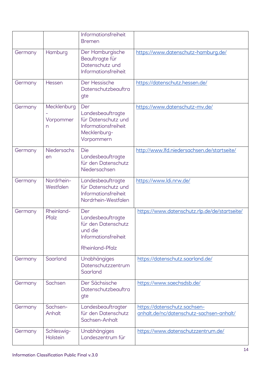|         |                               | Informationsfreiheit<br><b>Bremen</b>                                                                 |                                                                          |
|---------|-------------------------------|-------------------------------------------------------------------------------------------------------|--------------------------------------------------------------------------|
| Germany | Hamburg                       | Der Hamburgische<br>Beauftragte für<br>Datenschutz und<br>Informationsfreiheit                        | https://www.datenschutz-hamburg.de/                                      |
| Germany | Hessen                        | Der Hessische<br>Datenschutzbeauftra<br>gte                                                           | https://datenschutz.hessen.de/                                           |
| Germany | Mecklenburg<br>Vorpommer<br>n | Der<br>Landesbeauftragte<br>für Datenschutz und<br>Informationsfreiheit<br>Mecklenburg-<br>Vorpommern | https://www.datenschutz-mv.de/                                           |
| Germany | <b>Niedersachs</b><br>en      | Die<br>Landesbeauftragte<br>für den Datenschutz<br>Niedersachsen                                      | http://www.lfd.niedersachsen.de/startseite/                              |
| Germany | Nordrhein-<br>Westfalen       | Landesbeauftragte<br>für Datenschutz und<br>Informationsfreiheit<br>Nordrhein-Westfalen               | https://www.ldi.nrw.de/                                                  |
| Germany | Rheinland-<br>Pfalz           | Der<br>Landesbeauftragte<br>für den Datenschutz<br>und die<br>Informationsfreiheit<br>Rheinland-Pfalz | https://www.datenschutz.rlp.de/de/startseite/                            |
| Germany | Saarland                      | <b>Unabhängiges</b><br>Datenschutzzentrum<br>Saarland                                                 | https://datenschutz.saarland.de/                                         |
| Germany | Sachsen                       | Der Sächsische<br>Datenschutzbeauftra<br>gte                                                          | https://www.saechsdsb.de/                                                |
| Germany | Sachsen-<br>Anhalt            | Landesbeauftragter<br>für den Datenschutz<br>Sachsen-Anhalt                                           | https://datenschutz.sachsen-<br>anhalt.de/nc/datenschutz-sachsen-anhalt/ |
| Germany | Schleswig-<br>Holstein        | Unabhängiges<br>Landeszentrum für                                                                     | https://www.datenschutzzentrum.de/                                       |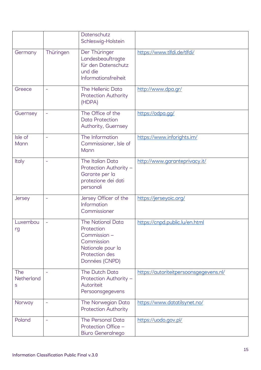|                        |                          | Datenschutz<br>Schleswig-Holstein                                                                                      |                                        |
|------------------------|--------------------------|------------------------------------------------------------------------------------------------------------------------|----------------------------------------|
| Germany                | Thüringen                | Der Thüringer<br>Landesbeauftragte<br>für den Datenschutz<br>und die<br>Informationsfreiheit                           | https://www.tlfdi.de/tlfdi/            |
| Greece                 | ÷,                       | The Hellenic Data<br><b>Protection Authority</b><br>(HDPA)                                                             | http://www.dpa.gr/                     |
| Guernsey               | $\equiv$                 | The Office of the<br><b>Data Protection</b><br>Authority, Guernsey                                                     | https://odpa.gg/                       |
| Isle of<br>Mann        | $\equiv$                 | The Information<br>Commissioner, Isle of<br>Mann                                                                       | https://www.inforights.im/             |
| Italy                  | $\overline{\phantom{0}}$ | The Italian Data<br>Protection Authority -<br>Garante per la<br>protezione dei dati<br>personali                       | http://www.garanteprivacy.it/          |
| Jersey                 | ÷                        | Jersey Officer of the<br>Information<br>Commissioner                                                                   | https://jerseyoic.org/                 |
| Luxembou<br>rg         |                          | The National Data<br>Protection<br>Commission -<br>Commission<br>Nationale pour la<br>Protection des<br>Données (CNPD) | https://cnpd.public.lu/en.html         |
| The<br>Netherland<br>S |                          | The Dutch Data<br>Protection Authority -<br>Autoriteit<br>Persoonsgegevens                                             | https://autoriteitpersoonsgegevens.nl/ |
| Norway                 | ÷                        | The Norwegian Data<br>Protection Authority                                                                             | https://www.datatilsynet.no/           |
| Poland                 | $\overline{\phantom{0}}$ | The Personal Data<br>Protection Office -<br>Biuro Generalnego                                                          | https://uodo.gov.pl/                   |